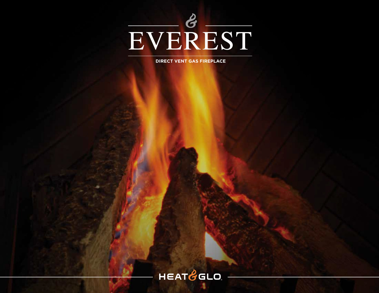

**DIRECT VENT GAS FIREPLACE**

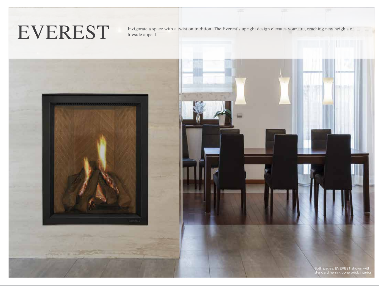# EVEREST

Invigorate a space with a twist on tradition. The Everest's upright design elevates your fire, reaching new heights of fireside appeal.

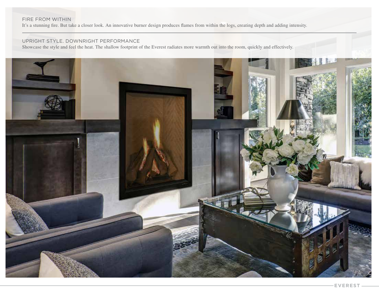#### FIRE FROM WITHIN

It's a stunning fire. But take a closer look. An innovative burner design produces flames from within the logs, creating depth and adding intensity.

#### UPRIGHT STYLE. DOWNRIGHT PERFORMANCE

Showcase the style and feel the heat. The shallow footprint of the Everest radiates more warmth out into the room, quickly and effectively.